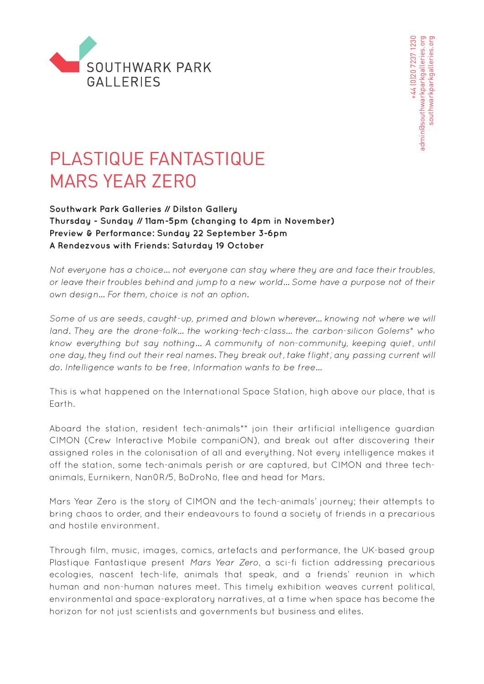

+44 [0] 20 7237 1230 admin@southwarkparkgalleries.org southwarkparkqalleries.org +44 (0)20 7237 1230 admin@southwarkparkgalleries.org southwarkparkgalleries.org

# PLASTIQUE FANTASTIQUE MARS YEAR ZERO

### **Southwark Park Galleries // Dilston Gallery Thursday - Sunday // 11am-5pm (changing to 4pm in November) Preview & Performance: Sunday 22 September 3-6pm A Rendezvous with Friends: Saturday 19 October**

Not everyone has a choice… not everyone can stay where they are and face their troubles, or leave their troubles behind and jump to a new world… Some have a purpose not of their own design… For them, choice is not an option.

Some of us are seeds, caught-up, primed and blown wherever… knowing not where we will land. They are the drone-folk... the working-tech-class… the carbon-silicon Golems\* who know everything but say nothing… A community of non-community, keeping quiet, until one day, they find out their real names. They break out, take flight; any passing current will do. Intelligence wants to be free, Information wants to be free…

This is what happened on the International Space Station, high above our place, that is Earth.

Aboard the station, resident tech-animals\*\* join their artificial intelligence guardian CIMON (Crew Interactive Mobile companiON), and break out after discovering their assigned roles in the colonisation of all and everything. Not every intelligence makes it off the station, some tech-animals perish or are captured, but CIMON and three techanimals, Eurnikern, Nan0R/5, BoDroNo, flee and head for Mars.

Mars Year Zero is the story of CIMON and the tech-animals' journey; their attempts to bring chaos to order, and their endeavours to found a society of friends in a precarious and hostile environment.

Through film, music, images, comics, artefacts and performance, the UK-based group Plastique Fantastique present Mars Year Zero, a sci-fi fiction addressing precarious ecologies, nascent tech-life, animals that speak, and a friends' reunion in which human and non-human natures meet. This timely exhibition weaves current political, environmental and space-exploratory narratives, at a time when space has become the horizon for not just scientists and governments but business and elites.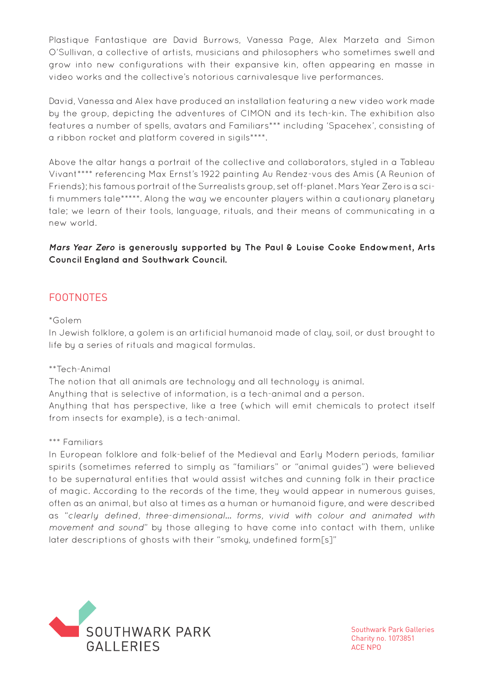Plastique Fantastique are David Burrows, Vanessa Page, Alex Marzeta and Simon O'Sullivan, a collective of artists, musicians and philosophers who sometimes swell and grow into new configurations with their expansive kin, often appearing en masse in video works and the collective's notorious carnivalesque live performances.

David, Vanessa and Alex have produced an installation featuring a new video work made by the group, depicting the adventures of CIMON and its tech-kin. The exhibition also features a number of spells, avatars and Familiars\*\*\* including 'Spacehex', consisting of a ribbon rocket and platform covered in sigils\*\*\*\*.

Above the altar hangs a portrait of the collective and collaborators, styled in a Tableau Vivant\*\*\*\* referencing Max Ernst's 1922 painting Au Rendez-vous des Amis (A Reunion of Friends); his famous portrait of the Surrealists group, set off-planet. Mars Year Zero is a scifi mummers tale\*\*\*\*\*. Along the way we encounter players within a cautionary planetary tale; we learn of their tools, language, rituals, and their means of communicating in a new world.

**Mars Year Zero is generously supported by The Paul & Louise Cooke Endowment, Arts Council England and Southwark Council.**

# FOOTNOTES

#### \*Golem

In Jewish folklore, a golem is an artificial humanoid made of clay, soil, or dust brought to life by a series of rituals and magical formulas.

#### \*\*Tech-Animal

The notion that all animals are technology and all technology is animal. Anything that is selective of information, is a tech-animal and a person. Anything that has perspective, like a tree (which will emit chemicals to protect itself from insects for example), is a tech-animal.

#### \*\*\* Familiars

In European folklore and folk-belief of the Medieval and Early Modern periods, familiar spirits (sometimes referred to simply as "familiars" or "animal guides") were believed to be supernatural entities that would assist witches and cunning folk in their practice of magic. According to the records of the time, they would appear in numerous guises, often as an animal, but also at times as a human or humanoid figure, and were described as "clearly defined, three-dimensional… forms, vivid with colour and animated with movement and sound" by those alleging to have come into contact with them, unlike later descriptions of ahosts with their "smoky, undefined form[s]"



Southwark Park Galleries Charity no. 1073851 ACE NPO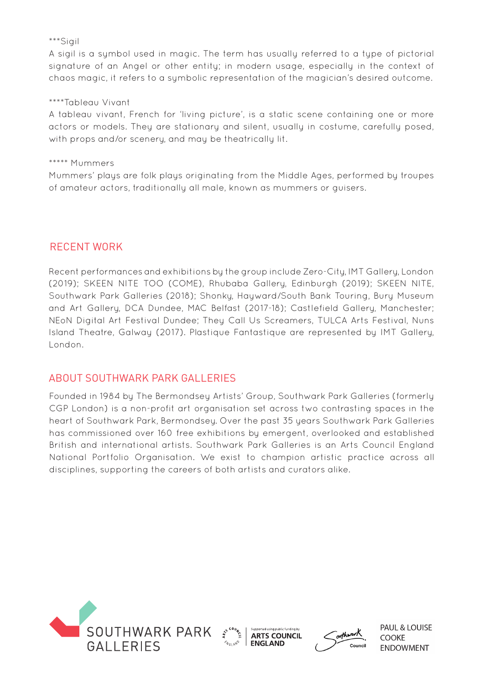#### \*\*\*Sigil

A sigil is a symbol used in magic. The term has usually referred to a type of pictorial signature of an Angel or other entity; in modern usage, especially in the context of chaos magic, it refers to a symbolic representation of the magician's desired outcome.

#### \*\*\*\*Tableau Vivant

A tableau vivant, French for 'living picture', is a static scene containing one or more actors or models. They are stationary and silent, usually in costume, carefully posed, with props and/or scenery, and may be theatrically lit.

#### \*\*\*\*\* Mummers

Mummers' plays are folk plays originating from the Middle Ages, performed by troupes of amateur actors, traditionally all male, known as mummers or guisers.

## RECENT WORK

Recent performances and exhibitions by the group include Zero-City, IMT Gallery, London (2019); SKEEN NITE TOO (COME), Rhubaba Gallery, Edinburgh (2019); SKEEN NITE, Southwark Park Galleries (2018); Shonky, Hayward/South Bank Touring, Bury Museum and Art Gallery, DCA Dundee, MAC Belfast (2017-18); Castlefield Gallery, Manchester; NEoN Digital Art Festival Dundee; They Call Us Screamers, TULCA Arts Festival, Nuns Island Theatre, Galway (2017). Plastique Fantastique are represented by IMT Gallery, London.

## ABOUT SOUTHWARK PARK GALLERIES

Founded in 1984 by The Bermondsey Artists' Group, Southwark Park Galleries (formerly CGP London) is a non-profit art organisation set across two contrasting spaces in the heart of Southwark Park, Bermondsey. Over the past 35 years Southwark Park Galleries has commissioned over 160 free exhibitions by emergent, overlooked and established British and international artists. Southwark Park Galleries is an Arts Council England National Portfolio Organisation. We exist to champion artistic practice across all disciplines, supporting the careers of both artists and curators alike.







**PAUL & LOUISE** COOKE **ENDOWMENT**